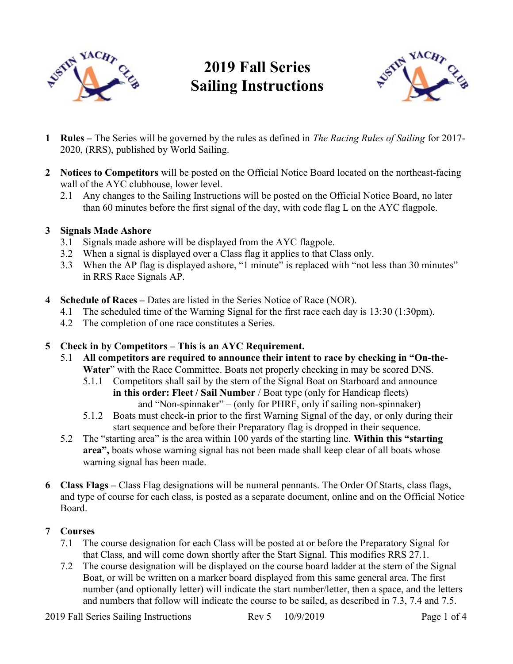

# 2019 Fall Series Sailing Instructions



- 1 Rules The Series will be governed by the rules as defined in The Racing Rules of Sailing for 2017-2020, (RRS), published by World Sailing.
- 2 Notices to Competitors will be posted on the Official Notice Board located on the northeast-facing wall of the AYC clubhouse, lower level.
	- 2.1 Any changes to the Sailing Instructions will be posted on the Official Notice Board, no later than 60 minutes before the first signal of the day, with code flag L on the AYC flagpole.

# 3 Signals Made Ashore

- 3.1 Signals made ashore will be displayed from the AYC flagpole.
- 3.2 When a signal is displayed over a Class flag it applies to that Class only.
- 3.3 When the AP flag is displayed ashore, "1 minute" is replaced with "not less than 30 minutes" in RRS Race Signals AP.
- 4 Schedule of Races Dates are listed in the Series Notice of Race (NOR).
	- 4.1 The scheduled time of the Warning Signal for the first race each day is 13:30 (1:30pm).
	- 4.2 The completion of one race constitutes a Series.

# 5 Check in by Competitors – This is an AYC Requirement.

- 5.1 All competitors are required to announce their intent to race by checking in "On-the-Water" with the Race Committee. Boats not properly checking in may be scored DNS.
	- 5.1.1 Competitors shall sail by the stern of the Signal Boat on Starboard and announce in this order: Fleet / Sail Number / Boat type (only for Handicap fleets) and "Non-spinnaker" – (only for PHRF, only if sailing non-spinnaker)
	- 5.1.2 Boats must check-in prior to the first Warning Signal of the day, or only during their start sequence and before their Preparatory flag is dropped in their sequence.
- 5.2 The "starting area" is the area within 100 yards of the starting line. Within this "starting area", boats whose warning signal has not been made shall keep clear of all boats whose warning signal has been made.
- 6 Class Flags Class Flag designations will be numeral pennants. The Order Of Starts, class flags, and type of course for each class, is posted as a separate document, online and on the Official Notice Board.

# 7 Courses

- 7.1 The course designation for each Class will be posted at or before the Preparatory Signal for that Class, and will come down shortly after the Start Signal. This modifies RRS 27.1.
- 7.2 The course designation will be displayed on the course board ladder at the stern of the Signal Boat, or will be written on a marker board displayed from this same general area. The first number (and optionally letter) will indicate the start number/letter, then a space, and the letters and numbers that follow will indicate the course to be sailed, as described in 7.3, 7.4 and 7.5.

2019 Fall Series Sailing Instructions Rev 5 10/9/2019 Page 1 of 4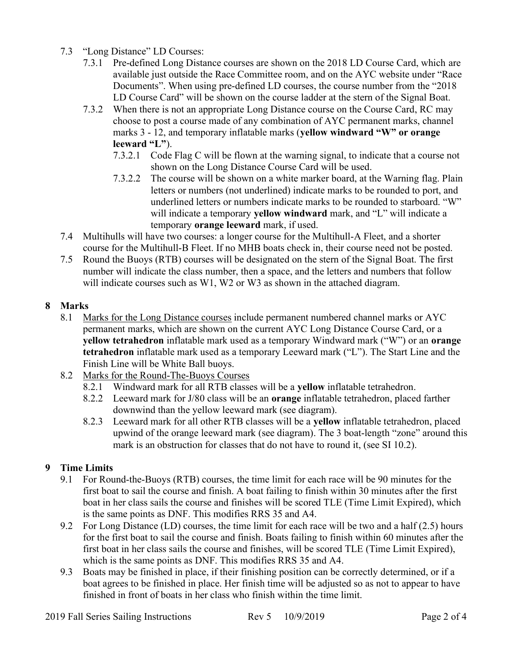- 7.3 "Long Distance" LD Courses:
	- 7.3.1 Pre-defined Long Distance courses are shown on the 2018 LD Course Card, which are available just outside the Race Committee room, and on the AYC website under "Race Documents". When using pre-defined LD courses, the course number from the "2018 LD Course Card" will be shown on the course ladder at the stern of the Signal Boat.
	- 7.3.2 When there is not an appropriate Long Distance course on the Course Card, RC may choose to post a course made of any combination of AYC permanent marks, channel marks 3 - 12, and temporary inflatable marks (yellow windward "W" or orange leeward "L").
		- 7.3.2.1 Code Flag C will be flown at the warning signal, to indicate that a course not shown on the Long Distance Course Card will be used.
		- 7.3.2.2 The course will be shown on a white marker board, at the Warning flag. Plain letters or numbers (not underlined) indicate marks to be rounded to port, and underlined letters or numbers indicate marks to be rounded to starboard. "W" will indicate a temporary yellow windward mark, and "L" will indicate a temporary orange leeward mark, if used.
- 7.4 Multihulls will have two courses: a longer course for the Multihull-A Fleet, and a shorter course for the Multihull-B Fleet. If no MHB boats check in, their course need not be posted.
- 7.5 Round the Buoys (RTB) courses will be designated on the stern of the Signal Boat. The first number will indicate the class number, then a space, and the letters and numbers that follow will indicate courses such as W1, W2 or W3 as shown in the attached diagram.

# 8 Marks

- 8.1 Marks for the Long Distance courses include permanent numbered channel marks or AYC permanent marks, which are shown on the current AYC Long Distance Course Card, or a yellow tetrahedron inflatable mark used as a temporary Windward mark ("W") or an orange tetrahedron inflatable mark used as a temporary Leeward mark ("L"). The Start Line and the Finish Line will be White Ball buoys.
- 8.2 Marks for the Round-The-Buoys Courses
	- 8.2.1 Windward mark for all RTB classes will be a yellow inflatable tetrahedron.
	- 8.2.2 Leeward mark for J/80 class will be an orange inflatable tetrahedron, placed farther downwind than the yellow leeward mark (see diagram).
	- 8.2.3 Leeward mark for all other RTB classes will be a yellow inflatable tetrahedron, placed upwind of the orange leeward mark (see diagram). The 3 boat-length "zone" around this mark is an obstruction for classes that do not have to round it, (see SI 10.2).

# 9 Time Limits

- 9.1 For Round-the-Buoys (RTB) courses, the time limit for each race will be 90 minutes for the first boat to sail the course and finish. A boat failing to finish within 30 minutes after the first boat in her class sails the course and finishes will be scored TLE (Time Limit Expired), which is the same points as DNF. This modifies RRS 35 and A4.
- 9.2 For Long Distance (LD) courses, the time limit for each race will be two and a half (2.5) hours for the first boat to sail the course and finish. Boats failing to finish within 60 minutes after the first boat in her class sails the course and finishes, will be scored TLE (Time Limit Expired), which is the same points as DNF. This modifies RRS 35 and A4.
- 9.3 Boats may be finished in place, if their finishing position can be correctly determined, or if a boat agrees to be finished in place. Her finish time will be adjusted so as not to appear to have finished in front of boats in her class who finish within the time limit.

2019 Fall Series Sailing Instructions Rev 5 10/9/2019 Page 2 of 4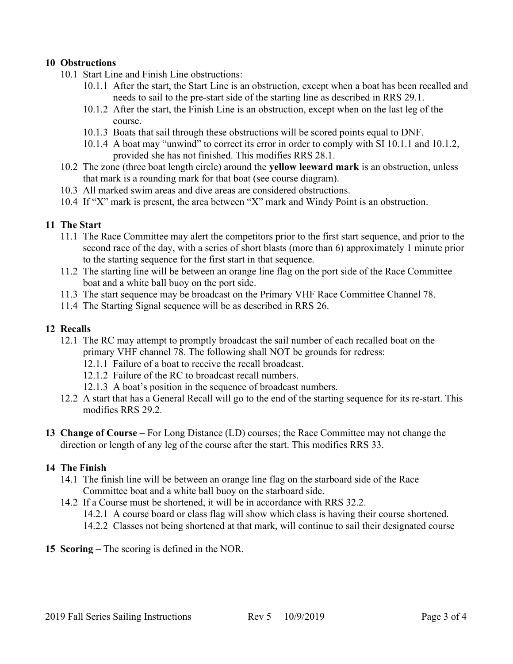### 10 Obstructions

- 10.1 Start Line and Finish Line obstructions:
	- 10.1.1 After the start, the Start Line is an obstruction, except when a boat has been recalled and needs to sail to the pre-start side of the starting line as described in RRS 29.1.
	- 10.1.2 After the start, the Finish Line is an obstruction, except when on the last leg of the course.
	- 10.1.3 Boats that sail through these obstructions will be scored points equal to DNF.
	- 10.1.4 A boat may "unwind" to correct its error in order to comply with SI 10.1.1 and 10.1.2, provided she has not finished. This modifies RRS 28.1.
- 10.2 The zone (three boat length circle) around the yellow leeward mark is an obstruction, unless that mark is a rounding mark for that boat (see course diagram).
- 10.3 All marked swim areas and dive areas are considered obstructions.
- 10.4 If "X" mark is present, the area between "X" mark and Windy Point is an obstruction.

#### 11 The Start

- 11.1 The Race Committee may alert the competitors prior to the first start sequence, and prior to the second race of the day, with a series of short blasts (more than 6) approximately 1 minute prior to the starting sequence for the first start in that sequence.
- 11.2 The starting line will be between an orange line flag on the port side of the Race Committee boat and a white ball buoy on the port side.
- 11.3 The start sequence may be broadcast on the Primary VHF Race Committee Channel 78.
- 11.4 The Starting Signal sequence will be as described in RRS 26.

### 12 Recalls

- 12.1 The RC may attempt to promptly broadcast the sail number of each recalled boat on the primary VHF channel 78. The following shall NOT be grounds for redress:
	- 12.1.1 Failure of a boat to receive the recall broadcast.
	- 12.1.2 Failure of the RC to broadcast recall numbers.
	- 12.1.3 A boat's position in the sequence of broadcast numbers.
- 12.2 A start that has a General Recall will go to the end of the starting sequence for its re-start. This modifies RRS 29.2.
- 13 Change of Course For Long Distance (LD) courses; the Race Committee may not change the direction or length of any leg of the course after the start. This modifies RRS 33.

#### 14 The Finish

- 14.1 The finish line will be between an orange line flag on the starboard side of the Race Committee boat and a white ball buoy on the starboard side.
- 14.2 If a Course must be shortened, it will be in accordance with RRS 32.2.
	- 14.2.1 A course board or class flag will show which class is having their course shortened.
	- 14.2.2 Classes not being shortened at that mark, will continue to sail their designated course
- 15 Scoring The scoring is defined in the NOR.